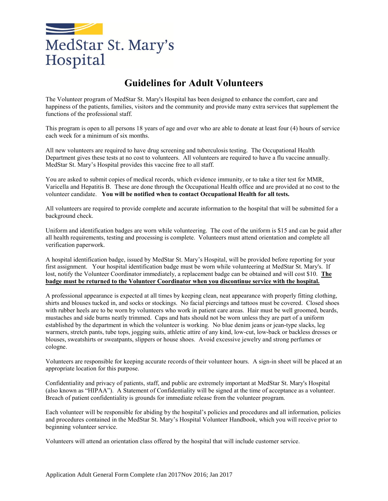

### **Guidelines for Adult Volunteers**

The Volunteer program of MedStar St. Mary's Hospital has been designed to enhance the comfort, care and happiness of the patients, families, visitors and the community and provide many extra services that supplement the functions of the professional staff.

This program is open to all persons 18 years of age and over who are able to donate at least four (4) hours of service each week for a minimum of six months.

All new volunteers are required to have drug screening and tuberculosis testing. The Occupational Health Department gives these tests at no cost to volunteers. All volunteers are required to have a flu vaccine annually. MedStar St. Mary's Hospital provides this vaccine free to all staff.

You are asked to submit copies of medical records, which evidence immunity, or to take a titer test for MMR, Varicella and Hepatitis B. These are done through the Occupational Health office and are provided at no cost to the volunteer candidate. **You will be notified when to contact Occupational Health for all tests.**

All volunteers are required to provide complete and accurate information to the hospital that will be submitted for a background check.

Uniform and identification badges are worn while volunteering. The cost of the uniform is \$15 and can be paid after all health requirements, testing and processing is complete. Volunteers must attend orientation and complete all verification paperwork.

A hospital identification badge, issued by MedStar St. Mary's Hospital, will be provided before reporting for your first assignment. Your hospital identification badge must be worn while volunteering at MedStar St. Mary's. If lost, notify the Volunteer Coordinator immediately, a replacement badge can be obtained and will cost \$10. **The badge must be returned to the Volunteer Coordinator when you discontinue service with the hospital.**

A professional appearance is expected at all times by keeping clean, neat appearance with properly fitting clothing, shirts and blouses tucked in, and socks or stockings. No facial piercings and tattoos must be covered. Closed shoes with rubber heels are to be worn by volunteers who work in patient care areas. Hair must be well groomed, beards, mustaches and side burns neatly trimmed. Caps and hats should not be worn unless they are part of a uniform established by the department in which the volunteer is working. No blue denim jeans or jean-type slacks, leg warmers, stretch pants, tube tops, jogging suits, athletic attire of any kind, low-cut, low-back or backless dresses or blouses, sweatshirts or sweatpants, slippers or house shoes. Avoid excessive jewelry and strong perfumes or cologne.

Volunteers are responsible for keeping accurate records of their volunteer hours. A sign-in sheet will be placed at an appropriate location for this purpose.

Confidentiality and privacy of patients, staff, and public are extremely important at MedStar St. Mary's Hospital (also known as "HIPAA"). A Statement of Confidentiality will be signed at the time of acceptance as a volunteer. Breach of patient confidentiality is grounds for immediate release from the volunteer program.

Each volunteer will be responsible for abiding by the hospital's policies and procedures and all information, policies and procedures contained in the MedStar St. Mary's Hospital Volunteer Handbook, which you will receive prior to beginning volunteer service.

Volunteers will attend an orientation class offered by the hospital that will include customer service.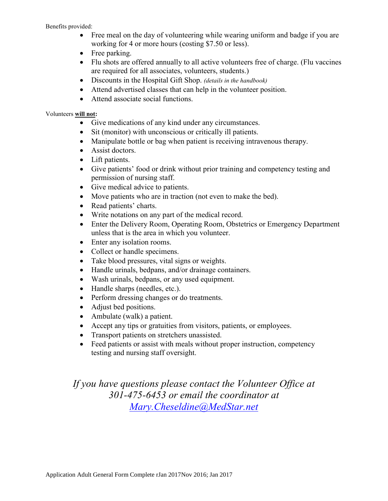#### Benefits provided:

- Free meal on the day of volunteering while wearing uniform and badge if you are working for 4 or more hours (costing \$7.50 or less).
- Free parking.
- Flu shots are offered annually to all active volunteers free of charge. (Flu vaccines are required for all associates, volunteers, students.)
- Discounts in the Hospital Gift Shop. *(details in the handbook)*
- Attend advertised classes that can help in the volunteer position.
- Attend associate social functions.

#### Volunteers **will not:**

- Give medications of any kind under any circumstances.
- Sit (monitor) with unconscious or critically ill patients.
- Manipulate bottle or bag when patient is receiving intravenous therapy.
- Assist doctors.
- Lift patients.
- Give patients' food or drink without prior training and competency testing and permission of nursing staff.
- Give medical advice to patients.
- Move patients who are in traction (not even to make the bed).
- Read patients' charts.
- Write notations on any part of the medical record.
- Enter the Delivery Room, Operating Room, Obstetrics or Emergency Department unless that is the area in which you volunteer.
- Enter any isolation rooms.
- Collect or handle specimens.
- Take blood pressures, vital signs or weights.
- Handle urinals, bedpans, and/or drainage containers.
- Wash urinals, bedpans, or any used equipment.
- Handle sharps (needles, etc.).
- Perform dressing changes or do treatments.
- Adjust bed positions.
- Ambulate (walk) a patient.
- Accept any tips or gratuities from visitors, patients, or employees.
- Transport patients on stretchers unassisted.
- Feed patients or assist with meals without proper instruction, competency testing and nursing staff oversight.

*If you have questions please contact the Volunteer Office at 301-475-6453 or email the coordinator at [Mary.Cheseldine@MedStar.net](mailto:mary_cheseldine@smhwecare.com)*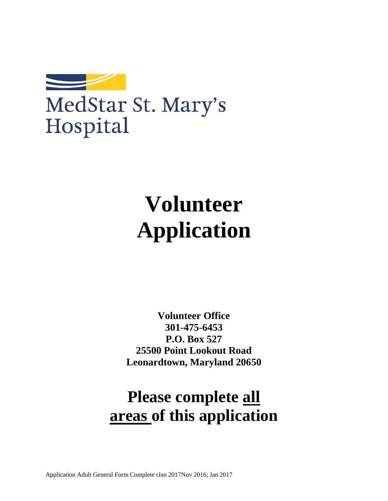

# MedStar St. Mary's Hospital

# **Volunteer Application**

**Volunteer Office 301-475-6453 P.O. Box 527 25500 Point Lookout Road Leonardtown, Maryland 20650**

# **Please complete all areas of this application**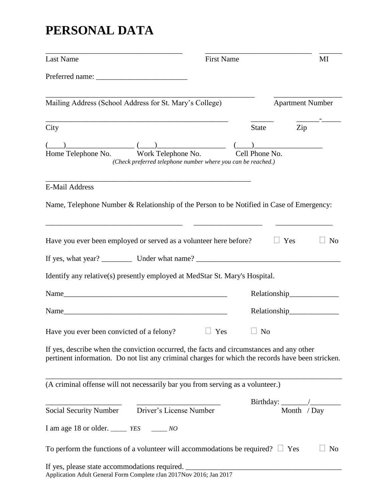## **PERSONAL DATA**

| <b>Last Name</b>                                                                                                                                                                              | <b>First Name</b> |       | MI                                                    |                |
|-----------------------------------------------------------------------------------------------------------------------------------------------------------------------------------------------|-------------------|-------|-------------------------------------------------------|----------------|
|                                                                                                                                                                                               |                   |       |                                                       |                |
| Mailing Address (School Address for St. Mary's College)                                                                                                                                       |                   |       | <b>Apartment Number</b>                               |                |
| City                                                                                                                                                                                          |                   | State | Zip                                                   |                |
|                                                                                                                                                                                               |                   |       | $\begin{pmatrix} 1 & 1 \\ 1 & 1 \end{pmatrix}$        |                |
| $\frac{(-1)^{n}}{\sqrt{n}}$ Home Telephone No. $\frac{(-1)^{n}}{\sqrt{n}}$ Work Telephone No. Cell Phone No.<br>(Check preferred telephone number where you can be reached.)                  |                   |       |                                                       |                |
|                                                                                                                                                                                               |                   |       |                                                       |                |
| <b>E-Mail Address</b>                                                                                                                                                                         |                   |       |                                                       |                |
| Name, Telephone Number & Relationship of the Person to be Notified in Case of Emergency:                                                                                                      |                   |       |                                                       |                |
|                                                                                                                                                                                               |                   |       |                                                       |                |
| Have you ever been employed or served as a volunteer here before?                                                                                                                             |                   |       | $\Box$ Yes                                            | N <sub>0</sub> |
|                                                                                                                                                                                               |                   |       |                                                       |                |
| Identify any relative(s) presently employed at MedStar St. Mary's Hospital.                                                                                                                   |                   |       |                                                       |                |
|                                                                                                                                                                                               |                   |       | Relationship                                          |                |
|                                                                                                                                                                                               |                   |       | Relationship_______________                           |                |
| Have you ever been convicted of a felony? $\Box$ Yes $\Box$ No                                                                                                                                |                   |       |                                                       |                |
| If yes, describe when the conviction occurred, the facts and circumstances and any other<br>pertinent information. Do not list any criminal charges for which the records have been stricken. |                   |       |                                                       |                |
|                                                                                                                                                                                               |                   |       |                                                       |                |
| (A criminal offense will not necessarily bar you from serving as a volunteer.)                                                                                                                |                   |       |                                                       |                |
|                                                                                                                                                                                               |                   |       | Birthday: $\frac{1}{\text{Month} \quad / \text{Day}}$ |                |
| Social Security Number Driver's License Number                                                                                                                                                |                   |       |                                                       |                |
| I am age 18 or older. ______ $YES$ _______ NO                                                                                                                                                 |                   |       |                                                       |                |
| To perform the functions of a volunteer will accommodations be required? $\Box$ Yes                                                                                                           |                   |       |                                                       | N <sub>o</sub> |
| If yes, please state accommodations required. __________________________________<br>Application Adult General Form Complete rJan 2017Nov 2016; Jan 2017                                       |                   |       |                                                       |                |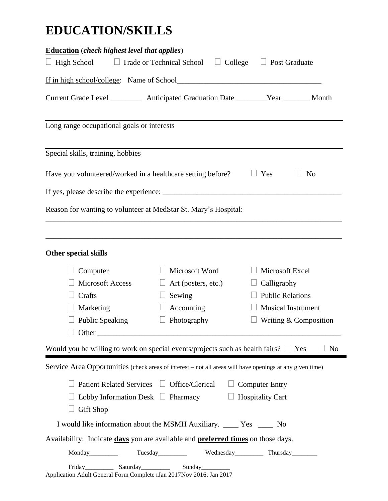## **EDUCATION/SKILLS**

| <b>Education</b> (check highest level that applies)                                                       |                                                                       |                           |                       |  |
|-----------------------------------------------------------------------------------------------------------|-----------------------------------------------------------------------|---------------------------|-----------------------|--|
| $\Box$ High School                                                                                        | $\Box$ Trade or Technical School<br>$\Box$ College                    | $\Box$ Post Graduate      |                       |  |
|                                                                                                           |                                                                       |                           |                       |  |
| Current Grade Level ____________ Anticipated Graduation Date ________Year _______ Month                   |                                                                       |                           |                       |  |
| Long range occupational goals or interests                                                                |                                                                       |                           |                       |  |
| Special skills, training, hobbies                                                                         |                                                                       |                           |                       |  |
| Have you volunteered/worked in a healthcare setting before?                                               |                                                                       | Yes                       | N <sub>o</sub>        |  |
|                                                                                                           |                                                                       |                           |                       |  |
| Reason for wanting to volunteer at MedStar St. Mary's Hospital:                                           |                                                                       |                           |                       |  |
|                                                                                                           |                                                                       |                           |                       |  |
| <b>Other special skills</b>                                                                               |                                                                       |                           |                       |  |
| Computer                                                                                                  | Microsoft Word                                                        | Microsoft Excel           |                       |  |
| <b>Microsoft Access</b>                                                                                   | Art (posters, etc.)                                                   | Calligraphy               |                       |  |
| Crafts                                                                                                    | Sewing                                                                | <b>Public Relations</b>   |                       |  |
| Marketing                                                                                                 | Accounting                                                            | <b>Musical Instrument</b> |                       |  |
| <b>Public Speaking</b>                                                                                    | Photography                                                           | Writing & Composition     |                       |  |
| Other $\qquad$                                                                                            |                                                                       |                           |                       |  |
| Would you be willing to work on special events/projects such as health fairs? $\square$                   |                                                                       |                           | N <sub>o</sub><br>Yes |  |
| Service Area Opportunities (check areas of interest – not all areas will have openings at any given time) |                                                                       |                           |                       |  |
|                                                                                                           | Patient Related Services □ Office/Clerical □ Computer Entry           |                           |                       |  |
| Lobby Information Desk $\Box$ Pharmacy                                                                    |                                                                       | $\Box$ Hospitality Cart   |                       |  |
| <b>Gift Shop</b>                                                                                          |                                                                       |                           |                       |  |
|                                                                                                           | I would like information about the MSMH Auxiliary. _____ Yes _____ No |                           |                       |  |
| Availability: Indicate days you are available and <b>preferred times</b> on those days.                   |                                                                       |                           |                       |  |
|                                                                                                           | Tuesday<br>Wednesday<br>Thursday<br>Thursday                          |                           |                       |  |
| Friday_________<br>Application Adult General Form Complete rJan 2017Nov 2016; Jan 2017                    | Saturday___________<br>Sunday__________                               |                           |                       |  |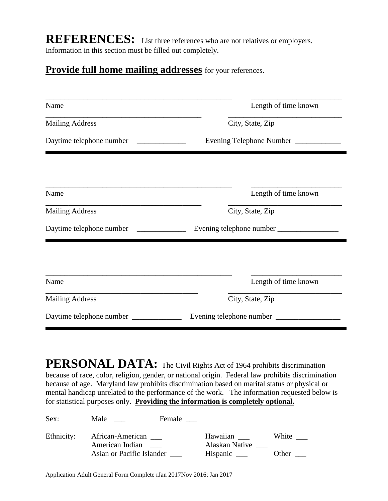**REFERENCES:** List three references who are not relatives or employers. Information in this section must be filled out completely.

### **Provide full home mailing addresses** for your references.

| Name                     | Length of time known        |  |  |
|--------------------------|-----------------------------|--|--|
| <b>Mailing Address</b>   | City, State, Zip            |  |  |
| Daytime telephone number | Evening Telephone Number __ |  |  |
|                          |                             |  |  |
| Name                     | Length of time known        |  |  |
| <b>Mailing Address</b>   | City, State, Zip            |  |  |
| Daytime telephone number | Evening telephone number    |  |  |
|                          |                             |  |  |
|                          |                             |  |  |
| Name                     | Length of time known        |  |  |
| <b>Mailing Address</b>   | City, State, Zip            |  |  |
| Daytime telephone number | Evening telephone number _  |  |  |

**PERSONAL DATA:** The Civil Rights Act of 1964 prohibits discrimination because of race, color, religion, gender, or national origin. Federal law prohibits discrimination because of age. Maryland law prohibits discrimination based on marital status or physical or mental handicap unrelated to the performance of the work. The information requested below is for statistical purposes only. **Providing the information is completely optional.**

| Sex:       | Male                                                             | Female |                                        |                |
|------------|------------------------------------------------------------------|--------|----------------------------------------|----------------|
| Ethnicity: | African-American<br>American Indian<br>Asian or Pacific Islander |        | Hawaiian<br>Alaskan Native<br>Hispanic | White<br>Other |

Application Adult General Form Complete rJan 2017Nov 2016; Jan 2017